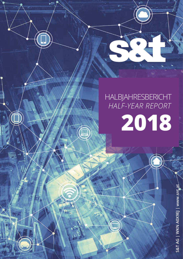# HALBJAHRESBERICHT *HALF-YEAR REPORT* **2018**

S

 $S$  and  $S$  and  $S$  and  $S$  in  $A$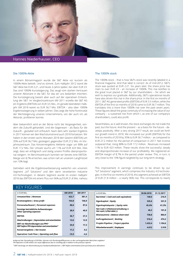

# Hannes Niederhauser, CEO

#### Die 1000%-Aktie

In einem Börsenmagazin wurde die S&T Aktie vor kurzem als 1000%-Aktie betitelt. Und es stimmt: Zum Halbjahr 2012 stand die S&T Aktie bei EUR 2,21, und heute, 6 Jahre später, bei über EUR 23. Das sind 1000% Kurssteigerung. Das zeugt vom starken Vertrauen unserer Aktionäre in die S&T, für das wir uns bedanken möchten. Die Kurssteigerung basiert aber auch auf der operativen Entwicklung der S&T: Im Vergleichszeitraum 6M 2011 erzielte die S&T AG ein Ergebnis (EBITDA) von EUR 3,5 Mio., im gerade beendeten Halbjahr 6M 2018 waren es EUR 36,7 Mio. EBITDA – also über 1000% Ergebnissteigerung in sieben Jahren. Dies zeigt die hohe Kontinuität der Wertsteigerung unseres Unternehmens, von der auch ich, als Aktionär, profitieren konnte.

Aber bekanntlich wird an der Börse nicht die Vergangenheit, sondern die Zukunft gehandelt. Und die Gegenwart – als Basis für die Zukunft – gestaltet sich erfreulich. Nach dem sehr starken Ergebnis in 2017 können wir den Wachstumstrend auch 2018 fortsetzen. Wir haben in den ersten sechs Monaten 2018 den Gewinn (EBITDA) um 35% auf EUR 36,7 Mio. gesteigert, gegenüber EUR 27,2 Mio. im Vorjahreszeitraum. Das Konzernergebnis kletterte sogar um 88% auf EUR 17,2 Mio. Der Umsatz wuchs um 11% auf EUR 423 Mio. Dies zeigt, dass wir erfolgreich und stetig unsere Profite überproportional steigern. Im Berichtszeitraum konnten wir bereits eine EBITDA-Marge von 8,7% erreichen, was schon nah an unserem Langfristziel von 10% liegt.

Getrieben wird die Ergebnisverbesserung weiterhin von unserem Segment "IoT Solutions" und den darin verankerten Industrie 4.0-Technologien. In diesem Segment wurde im ersten Halbjahr 2018 das EBITDA mit einem Plus von 96% auf EUR 21,8 Mio. nahezu

#### The 1000% stock

The 1000% stock – that is how S&T's stock was recently labeled in a financial magazine. And that label is correct: As of mid-2012, S&T's stock was quoted at EUR 2.21. Six years later, the share price has risen to over EUR 23 – an increase of 1000%. This rise testifies to the great trust placed in S&T by our shareholders – for which we wish to express our gratitude. Additionally, S&T's operational results have also driven this rise in the share price: In the first six months of 2011, S&T AG generated profits (EBITDA) of EUR 3.5 million, while the EBITDA of the first six months of 2018 came to EUR 36.7 million. This translates into a more than 1000% rise over the past seven years. These figures detail the great continuity of increasing the value of our company – a sustained rise from which I, as one of our company's shareholders, could also profit.

Nevertheless, as is well known, the stock exchanges do not trade the past, but the future. And the present – as a basis for the future – develops positively. After a very strong 2017 result, we could set forth our growth trend in 2018. We increased our profit (EBITDA) for the first six months of 2018 by 35% to EUR 36.7 million – as compared to EUR 27.2 million for the period of comparison in 2017. Net income outpaced that, rising 88% to EUR 17.2 million. Revenues increased 11% to EUR 423 million. These results show the successful, steady and disproportionate increase of our profitability. We registered an EBITDA margin of 8.7% in the period under review. This, in turn, is very close to the 10% figure targeted by our long-term strategy.

This improvement in earnings continues to be driven by our "IoT Solutions" segment, which comprises the Industry 4.0 technologies. In the first six months of 2018, this segment achieved an EBITDA of EUR 21.8 million – a nearly 96% rise. This corresponds to nearly

| <u>KEY FIGURES.</u>                                                   |         |         |                                                                 |            |            |
|-----------------------------------------------------------------------|---------|---------|-----------------------------------------------------------------|------------|------------|
| in EUR Mio.                                                           | 6M 2018 | 6M 2017 | in EUR Mio.                                                     | 30.06.2018 | 31.12.2017 |
| Umsatzerlöse   Revenues                                               | 422,7   | 381,4   | Barmittel   Cash and cash equivalents                           | 140,0      | 216,9      |
| Bruttoergebnis   Gross profit                                         | 154,8   | 146,0   | Eigenkapital   Equity                                           | 335.6      | 331,9      |
| Personalaufwand   Personnel expenses                                  | 88,6    | 87,6    | Eigenkapitalquote   Equity ratio                                | 45,4%      | 41,2%      |
| Sonstige betriebliche Aufwendungen<br><b>Other operating expenses</b> | 38,9    | 40,9    | Net Cash (+)/Nettoverschuldung (-)<br>Net cash (+)/Net debt (-) | 46,2       | 101,8      |
| <b>EBITDA</b>                                                         | 36,7    | 27,2    | Bilanzsumme   Balance sheet total                               | 738.8      | 804,9      |
| Abschreibungen   Depreciation and amortization                        | 13,6    | 12,9    | Auftragsbestand   Backlog                                       | 516.4      | 474,2      |
| EBIT vor Abschreibungen aus PPA*)                                     | 25,8    | 17,3    | Projekt-Pipeline   Project pipeline                             | 1.433,4    | 1.104,6    |
| <b>EBIT before PPA depreciation and amortization</b> "                |         |         | Mitarbeiteranzahl   Employees                                   | 4.012      | 3.918      |
| Konzernergebnis   Net income                                          | 17.2    | 9,2     |                                                                 |            |            |
| Operativer Cash Flow   Operating cash flow                            | $-15,9$ | $-4,6$  |                                                                 |            |            |

Aufgrund der Darstellung in EUR Mio. können sich Rundungsdifferenzen zu den vorhergehenden Berichten ergeben!<br>The depiction in EUR million can cause differences due to rounding off in relation to the previous reports!

\*) EBIT bereinigt um Abschreibung aus Kaufpreisallokationen *| EBIT before amortization from purchase price allocations*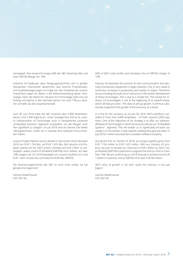

verdoppelt. Dies entspricht knapp 60% der S&T Gesamtprofite und einer EBITDA-Marge von 14%.

Industrie 4.0 bedeutet, dass Fertigungsmaschinen sich in großen Netzwerken miteinander abstimmen, was enorme Produktivitätsund Qualitätssteigerungen zur Folge hat. Den Schwerpunkt unserer Investments legen wir daher in die Weiterentwicklung dieser Technologie. Denn der Markt für Industrie 4.0-Technologie steht erst am Anfang und wächst in den nächsten Jahren mit rund 17% p.a. deutlich schneller als die Gesamtwirtschaft.

Zum 30. Juni 2018 hatte die S&T erstmals über 4.000 Mitarbeiter, davon rund 2.600 Ingenieure. Unser strategisches Ziel ist es, unsere softwarenahe IoT-Technologie auch in Nordamerika (unserem "Embedded Systems" Segment) anzubieten, um die Margen auch hier signifikant zu steigern. Im Juli 2018 sind wir diesem Ziel weiter nähergekommen, indem wir in Kanada eine Software-Firma erworben haben.

Unsere Projekt-Pipeline wuchs derweil in den ersten sechs Monaten 2018 von EUR 1.104 Mio. auf EUR 1.433 Mio. Mit Industrie 4.0-Projekten planen wir bis 2023 unsere Umsätze auf EUR 2 Mrd. zu verdoppeln, wobei unsere Profitabilität (EBITDA) noch stärker, auf über 10%, steigen soll. Für 2018 bestätigen wir unseren Ausblick von rund EUR 1 Mrd. Umsatz bei zumindest EUR 80 Mio. EBITDA.

Die Wachstumsgeschichte der S&T ist noch nicht vorbei, sie hat gerade erst begonnen!

Hannes Niederhauser CEO S&T AG

60% of S&T's total profits and translates into an EBITDA margin of 14%.

Industry 4.0 describes the process of inter-communication and attuning of production equipment in large networks. This, in turn, leads to enormous increases in productivity and quality of output. Therefore, we are investing the bulk of our resources in the further development of these technologies. This is due to a simple fact: The market for Industry 4.0 technologies is still at the beginning of its takeoff phase, which will feature some 17% rates of annual growth. It will thus substantially outperform the growth of the economy as a whole.

In a first for the company, as of June 30, 2018, S&T's workforce consisted of more than 4,000 employees – of them, around 2,600 engineers. One of the objectives of our strategy is to offer our softwareaffiliated IoT technologies in North America as well (via our "Embedded Systems" segment). This will enable us to significantly increase our margins on the market. A step towards realizing this goal was taken in July 2018, in which we acquired a Canadian software company.

During the first six months of 2018, our project pipeline grew from EUR 1,104 million to EUR 1,433 million. With our Industry 4.0 projects, we plan to double our revenues to EUR 2 billion by 2023. Our profitability (EBITDA) is planned to outgrow that and to come to more than 10%. We are confirming our 2018 forecast to achieve some EUR 1 billion in revenues and an EBITDA of at least EUR 80 million.

S&T's story of growth is not over. Quite the contrary, it has just begun!

Hannes Niederhauser CEO S&T AG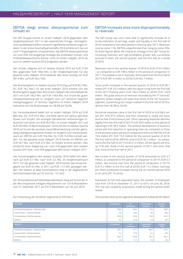#### EBITDA steigt erneut überproportional zum Umsatz an

Die S&T Gruppe konnte im ersten Halbjahr 2018 gegenüber dem Vergleichszeitraum 2017 in den wesentlichen Ertrags-, Vermögensund Liquiditätskennziffern neuerlich signifikante Verbesserungen erzielen: In der ersten Geschäftsjahreshälfte 2018 erhöhte sich, bei um rund 11% gestiegenen Umsatzerlösen, das EBITDA überproportional um rund 35%. Die langjährige Strategie des profitablen Umsatz- und Profitabilitätswachstums konnte somit im ersten Halbjahr 2018 als auch im zweiten Quartal 2018 fortgesetzt werden.

Der Umsatz steigerte sich im zweiten Quartal 2018 auf EUR 219,0 Mio. gegenüber EUR 198,6 Mio. in der Vergleichsperiode. Für das gesamte erste Halbjahr 2018 bedeutet dies einen Anstieg von EUR 381,4 Mio. auf EUR 422,7 Mio.

Das Bruttoergebnis im zweiten Quartal 2018 stieg auf EUR 80,7 Mio. (Vj.: EUR 74,2 Mio.), für das erste Halbjahr 2018 erhöhte sich das Bruttoergebnis gegenüber dem ersten Halbjahr des Geschäftsjahres 2017 von EUR 146,0 Mio. auf EUR 154,8 Mio. Auf Grund der guten Umsatzentwicklung des im Vergleich zum "IoT Solutions" Segment niedrigmargigeren "IT Services" Segments im ersten Halbjahr 2018 reduzierte sich die Bruttomarge von 38,3% auf 36,6%.

Der Personalaufwand belief sich im ersten Halbjahr 2018 auf EUR 88,6 Mio. (Vj.: EUR 87,6 Mio.) und blieb damit auf nahezu gleichem Niveau zum Vorjahr. Die sonstigen betrieblichen Aufwendungen reduzierten sich leicht von EUR 40,9 Mio. im ersten Halbjahr 2017 auf EUR 38,9 Mio. im Berichtszeitraum. Somit konnte im zweiten Quartal 2018 auf Grund der positiven Geschäftsentwicklung und der gleichzeitig niedrigeren operativen Kosten im Vergleich zum Vorjahreszeitraum ein EBITDA von EUR 19,6 Mio. (Vj.: EUR 15,0 Mio.) erzielt werden. Für das gesamte erste Halbjahr 2018 konnte ein EBITDA von EUR 36,7 Mio. nach EUR 27,2 Mio. im Vorjahr erreicht werden. Dies entspricht einer Steigerung von rund 31% gegenüber dem zweiten Quartal 2017 bzw. rund 35% gegenüber dem ersten Halbjahr 2017.

Das Konzernergebnis des zweiten Quartals 2018 belief sich demnach auf EUR 9,7 Mio. nach EUR 5,3 Mio. im Vergleichszeitraum 2017. Für das gesamte erste Halbjahr 2018 konnte das Konzernergebnis von EUR 9,2 Mio. in 2017 auf EUR 17,2 Mio. gesteigert werden. Der Gewinn je Aktie (unverwässert) stieg in der abgelaufenen Sechsmonatsperiode auf 26 Cent (Vj.: 10 Cent).

Der Personalstand auf Vollzeitäquivalentbasis stieg auf Grund der in der Berichtsperiode erfolgten Akquisitionen von 3.918 Mitarbeitern zum 31. Dezember 2017 auf 4.012 Mitarbeiter zum 30. Juni 2018.

#### EBITDA increases once more disproportionately to revenues

The S&T Group was once more able to significantly increase all of its key indicators of earnings, assets and liquidity in the first half of 2018 compared to the same period in financial year 2017. Revenues rose by some 11%. EBITDA outperformed that, rising by some 35%. As these figures detail, the long-term strategy of the S&T Group for increasing revenues and high-profitability growth was successfully pursued in both, the second quarter, and the first half as a whole of 2018.

Revenues rose in the second quarter of 2018 to EUR 219.0 million – as compared to EUR 198.6 million in the period of comparison in 2017. This yielded a rise in revenues, which went from the first half of 2017's EUR 381.4 million to 2018's EUR 422.7 million.

Gross profit increased in the second quarter of 2018 to EUR 80.7 million (PY: EUR 74.2 million), with this figure rising from the first half of the 2017 financial year's EUR 146.0 million to 2018's EUR 154.8 million. The great amount of revenues recorded by the "IT Services" segment, whose margins are lower than those of the "IoT Solutions" segment, caused the gross margin realized in the first half of 2018 to decline from 38.3% to 36.6%.

Personnel expenses came in the first half of 2018 to EUR 88.6 million (PY: EUR 87.6 million), and thus remained at nearly the same level as that of the previous year. Other operating expenses declined slightly from the first half of 2017's EUR 40.9 million to this period of reporting's EUR 38.9 million. The positive development of business joined with this reduction in operating costs (as compared to those of the previous year's period of comparison) led to an EBITDA of EUR 19.6 million (PY: EUR 15.0 million) for the second quarter of 2018. The first half of 2018's EBITDA came to EUR 36.7 million – as compared to the first half of 2017's EUR 27.2 million. 2018's figures are thus up 31% over those of the second quarter of 2017, and some 35% over those of the first half of 2017.

Net income in the second quarter of 2018 amounted to EUR 9.7 million, as compared to the period of comparison in 2017's EUR 5.3 million. Net income rose from the period of comparison in 2017's EUR 9.2 million to the first half of 2018's EUR 17.2 million. Earnings per share (undiluted) increased during the six months period 2018 to 26 cents (PY: 10 cents).

Expressed on full time equivalent basis, the number of employees rose from 3,918 on December 31, 2017 to 4,012 on June 30, 2018. This rise was caused by acquisitions made during the period under review.

Zur Entwicklung der einzelnen Segmente (in EUR Mio.):

The business done by the segments developed as follows (EUR million):

| 6M 2018                              | <b>IT Services</b> | <b>IoT</b><br><b>Solutions</b> | <b>Embedded</b><br><b>Systems</b> | Gesamt<br><b>Total</b> |
|--------------------------------------|--------------------|--------------------------------|-----------------------------------|------------------------|
| Umsatzerlöse gesamt   Revenues total | 199,9              | 185,4                          | 77,6                              | 462,9                  |
| Innenumsatz   Internal revenues      | $-7,0$             | $-29,6$                        | $-3,6$                            | $-40,2$                |
| Umsatzerlöse   External revenues     | 192,9              | 155,8                          | 74,0                              | 422,7                  |
| EBITDA                               | 9,5                | 21,8                           | 5,4                               | 36,7                   |
|                                      |                    |                                |                                   |                        |
| 6M 2017                              | <b>IT Services</b> | <b>IoT</b>                     | <b>Embedded</b>                   | Gesamt                 |
|                                      |                    | <b>Solutions</b>               | <b>Systems</b>                    | <b>Total</b>           |
| Umsatzerlöse gesamt   Revenues total | 156,7              | 171,7                          | 86,7                              | 415,1                  |
| Innenumsatz   Internal revenues      | $-3,2$             | $-27,9$                        | $-2,5$                            | $-33,6$                |
| Umsatzerlöse   External revenues     | 153,5              | 143,8                          | 84,2                              | 381,4                  |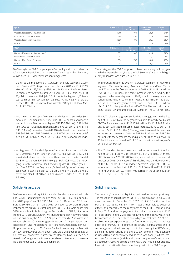| Q2 2018                              | <b>IT Services</b> | <b>IoT</b><br><b>Solutions</b> | <b>Embedded</b><br><b>Systems</b> | Gesamt<br><b>Total</b> |
|--------------------------------------|--------------------|--------------------------------|-----------------------------------|------------------------|
| Umsatzerlöse gesamt   Revenues total | 104,9              | 97,1                           | 39,0                              | 241,0                  |
| Innenumsatz   Internal revenues      | $-2,9$             | $-16,6$                        | $-2,5$                            | $-22,0$                |
| Umsatzerlöse   External revenues     | 102,0              | 80,5                           | 36,5                              | 219,0                  |
| EBITDA                               | 4,2                | 12,6                           | 2,8                               | 19,6                   |
| Q2 2017                              | <b>IT Services</b> | <b>IoT</b>                     | <b>Embedded</b>                   | Gesamt                 |
|                                      |                    | <b>Solutions</b>               | <b>Systems</b>                    | <b>Total</b>           |
| Umsatzerlöse gesamt   Revenues total | 85,5               | 89,9                           | 41,4                              | 216,8                  |
|                                      |                    |                                |                                   |                        |
| Innenumsatz   Internal revenues      | $-2,1$             | $-14,9$                        | $-1,1$                            | $-18,1$                |
| Umsatzerlöse   External revenues     | 83,4               | 75,0                           | 40,3                              | 198,6                  |

Die Strategie der S&T Gruppe, eigene Technologien insbesondere im IoT Solutions Bereich mit hochwertigen IT Services zu kombinieren, wurde auch 2018 weiter konsequent umgesetzt:

- Die Umsätze im Segment "IT Services" (ehemals "Services DACH" und "Services EE") stiegen im ersten Halbjahr 2018 auf EUR 192,9 Mio. (Vj.: EUR 153,5 Mio.). Gleiches gilt für die Umsätze dieses Segments im zweiten Quartal 2018 von EUR 102,0 Mio. (Vj.: EUR 83,4 Mio.). Im ersten Halbjahr 2018 konnte im Segment "IT Services" somit ein EBITDA von EUR 9,5 Mio. (Vj.: EUR 6,8 Mio.) erzielt werden. Das EBITDA im zweiten Quartal 2018 lag bei EUR 4,2 Mio. (Vj.: EUR 2,7 Mio.)
- Auch im ersten Halbjahr 2018 setzte sich das Wachstum des Segments "IoT Solutions" fort, wobei das EBITDA nahezu verdoppelt werden konnte: Der Umsatz stieg auf EUR 155,8 Mio. (Vj.: EUR 143,8 Mio.). Das EBITDA erhöhte sich entsprechend auf EUR 21,8 Mio. (Vj.: EUR 11,1 Mio.). Im zweiten Quartal 2018 erhöhte sich der Umsatz auf EUR 80,5 Mio. (Vj.: EUR 75,0 Mio.), das EBITDA des Segments belief sich auf EUR 12,6 Mio. nach EUR 6,6 Mio. in der Vorjahresperiode.
- Im Segment "Embedded Systems" konnten im ersten Halbjahr 2018 Umsätze in der Höhe von EUR 74,0 Mio. (Vj.: EUR 84,2 Mio.) erwirtschaftet werden. Hiervon entfielen auf das zweite Quartal 2018 Umsätze von EUR 36,5 Mio. (Vj.: EUR 40,3 Mio.). Der Rückgang ist unter anderem der Entwicklung des US-Dollar geschuldet. Das EBITDA des Segments "Embedded Systems" betrug im gesamten ersten Halbjahr 2018 EUR 5,4 Mio. (Vj.: EUR 9,3 Mio.), davon entfielen EUR 2,8 Mio. auf das zweite Quartal 2018 (Vj.: EUR 5,6 Mio.).

## Solide Finanzlage

Die Vermögens- und Liquiditätslage der Gesellschaft entwickelt sich positiv. Der Rückgang der liquiden Mittel auf EUR 140,0 Mio. zum 30. Juni 2018 gegenüber EUR 216,9 Mio. zum 31. Dezember 2017 bzw. EUR 172,9 Mio. zum 31. März 2018 ist neben saisonalen Effekten insbesondere auf die Rückzahlung der EUR 15 Mio. Anleihe im Mai 2018 als auch auf die Zahlung der Dividende von EUR 0,13 je Aktie im Juni 2018 zurückzuführen. Mit Rückführung der hochverzinsten Anleihe aus dem Jahr 2013 (7,25% p.a.) konnten die Zinskosten mit Wirkung ab Mai 2018 weiter gesenkt werden. Zur Optimierung der Fristigkeiten und Absicherung der Finanzierungskosten der S&T Gruppe wurde im Juni 2018 eine Bankenfinanzierung im Ausmaß von EUR 30 Mio. vorzeitig verlängert und gleichzeitig der Zinssatz auf die gesamte erweiterte Laufzeit fixiert. Darüber hinaus stehen der Gesellschaft ungenutzte Finanzierungslinien offen, um das weitere Wachstum der S&T Gruppe zu finanzieren.

The strategy of the S&T Group to combine proprietary technologies – with this especially applying to the "IoT Solutions" area – with highquality IT services was pursued in 2018:

- The revenues registered by the "IT Services" segment (formerly the segments "Services Germany, Austria and Switzerland" and "Services EE") rose in the first six months of 2018 to EUR 192.9 million (PY: EUR 153.5 million). The same increase was achieved by the segment in the second quarter of 2018, in which the segment's revenues came to EUR 102.0 million (PY: EUR 83.4 million). This enabled the "IT Services" segment to realize an EBITDA of EUR 9.5 million (PY: EUR 6.8 million) for the first half of 2018. The second quarter of 2018's EBITDA amounted to EUR 4.2 million (PY: EUR 2.7 million).
- The "IoT Solutions" segment set forth its strong growth in the first half of 2018, in which the segment was able to nearly double its EBITDA. Revenues rose to EUR 155.8 million (PY: EUR 143.8 million). Its EBITDA staged a much greater increase, rising to EUR 21.8 million (PY: EUR 11.1 million). The segment increased its revenues in the second quarter of 2018 to EUR 80.5 million (PY: EUR 75.0 million), with the segment's second quarter EBITDA coming to EUR 12.6 million – as opposed to EUR 6.6 million in the previous year's period of comparison.
- The "Embedded Systems" segment realized revenues in the first half of 2018 of EUR 74.0 million (PY: EUR 84.2 million). Of these, EUR 36.5 million (PY: EUR 40.3 million) were realized in the second quarter of 2018. One cause of this decline was the development of the US dollar. The "Embedded Systems" segment's EBITDA amounted in the first half of 2018 to EUR 5.4 million (PY: EUR 9.3 million). Of that, EUR 2.8 million was earned in the second quarter of 2018 (PY: EUR 5.6 million).

## Solid finances

The company's assets and liquidity continued to develop positively. The reduction of liquid funds to EUR 140.0 million as of lune 30, 2018 – as compared to December 31, 2017's EUR 216.9 million and to March 31, 2018's EUR 172.9 million – was attributable to seasonal effects, and especially to the repayment of the EUR 15 million bond in May 2018, and to the payment of a dividend amounting to EUR 0.13 per share in June 2018. The repayment of the bond, which had been issued in 2013 and which bore a high interest rate (7.25% p.a.), enabled interest expenditures to be further reduced, with this taking effect as of May 2018. To optimize the structure of maturities and to secure against undue financing costs to be borne by the S&T Group, a bank-provided financing amounting to EUR 30 million was extended in June 2018 on an ahead-of-schedule basis. Additionally, a fixed interest rate for the entire (and thus also extended) term of the loan was agreed upon. Also available to the company are lines of financing that have yet to be utilized to finance further growth of the S&T Group.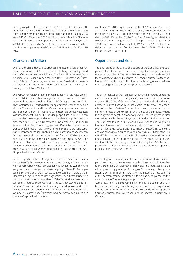Das Eigenkapital belief sich zum 30. Juni 2018 auf EUR 335,6 Mio. (31. Dezember 2017: EUR 331,9 Mio.). Auf Grund der saisonal kürzeren Bilanzsumme erhöhte sich die Eigenkapitalquote per 30. Juni 2018 auf 45,4% (31. Dezember 2017: 41,2%) und zeigt die solide Finanzierung der S&T Gruppe. Der operative Cashflow des zweiten Quartals 2018 betrug EUR 9,9 Mio. (Vj.: TEUR 2). Im ersten Halbjahr resultiert dies in einem operativen Cashflow von EUR -15,9 Mio. (Vj.: EUR -4,6 Mio.).

## Chancen und Risiken

Die Positionierung der S&T Gruppe als international führender Anbieter von Industrie 4.0- bzw. Internet of Things-Technologie und namhaftes Systemhaus mit Fokus auf die Entwicklung eigener Technologien und Präsenz in den Märkten DACH (Deutschland, Österreich, Schweiz), Osteuropa, Nordamerika und Russland ist unverändert aufrecht. Ebenso unverändert stehen wir auch hinter unserer Strategie: Profitables Wachstum!

Die volkswirtschaftlichen Rahmenbedingungen für die Absatzmärkte der S&T Gruppe haben sich gegenüber den Vorquartalen nicht wesentlich verändert: Während in der DACH-Region und im nördlichen Osteuropa die Wirtschaftsleistung weiterhin wächst, entwickelt sich die Wirtschaft im südlichen Osteuropa langsamer, aber besser als in den Vorjahren. Für Russland wird, nach Jahren des negativen Wirtschaftswachstums auf Grund der geopolitischen Diskussionen und der damit einhergehenden wirtschaftlichen und politischen Unsicherheit, für 2018 eine Trendwende und damit die Rückkehr zu einem positiven Wachstum prognostiziert. Der Eintritt dieser Trendwende scheint jedoch nach wie vor als ungewiss und stark risikobehaftet, insbesondere im Hinblick auf die laufenden geopolitischen Diskussionen und Unsicherheiten. In den für die S&T Gruppe neueren Märkten in Nordamerika ist nach wie vor unklar, wieweit die aktuellen Diskussionen um die Einführung von weiteren Zöllen bzw. Tarifen zwischen den USA, der Europäischen Union und China reichen bzw. umgesetzt werden und dadurch das Geschäft der S&T Gruppe beeinflussen könnten.

Das strategische Ziel des Managements, die S&T AG weiter zu einem innovativen Technologieunternehmen bzw. Lösungsanbieter mit einem zunehmenden Anteil an Eigenentwicklungen zu wandeln und aufgrund dadurch steigender Wertschöpfung höhere Profitmargen zu erzielen, wird auch 2018 konsequent weitergeführt werden. Der Hauptfokus liegt hier nach der abgeschlossenen Restrukturierung der Kontron Gruppe insbesondere auf der Entwicklung weiterer, integrierter Produkte im Software-Bereich sowie der Stärkung des "IoT Solutions" bzw. "Embedded Systems" Segments durch Akquisitionen, wie zuletzt mit der Übernahme von Teilen der Exceet Electronics Gruppe in Deutschland, Österreich und der Schweiz, als auch der Inocybe Corporation in Kanada.

As of June 30, 2018, equity came to EUR 335.6 million (December 31, 2017: EUR 331.9 million). The seasonally-produced reduction in the balance sheet sum caused the equity rate as of June 30, 2018 to rise to 45.4% (December 31, 2017: 41.2%). These figures detail the solidity of the financing of the S&T Group. The second quarter of 2018's operative cash flow came to EUR 9.9 million (PY: TEUR 2). This yielded an operative cash flow for the first half of 2018 of EUR -15.9 million (PY: EUR -4.6 million).

## Opportunities and risks

The positioning of the S&T Group as one of the world's leading suppliers of Industry 4.0 and Internet of Things technologies and as a renowned provider of IT systems that feature proprietary-developed technologies, which are distributed in Germany, Austria, Switzerland, Eastern Europe, Russia and North America is being maintained – as is our strategy of achieving highly-profitable growth!

The performances of the markets in which the S&T Group generates its revenues did not essentially change compared to the previous quarters. The GDPs of Germany, Austria and Switzerland and in the northern Eastern Europe countries continued to grow. The economies of southern Eastern Europe did not keep pace with this, but did turn in rates of growth higher than those of the previous years. Russia's years of negative economic growth – caused by geopolitical discussions and by the ensuing economic and political uncertainties – are expected to end in 2018, for which a return to positive growth has been foreseen for it. The materialization of this turnaround still seems fraught with doubts and risks. These are especially due to the ongoing geopolitical discussions and uncertainties. Shaping the – to the S&T Group – new markets in North America is the persistence of discussions on the introduction and possible extent of further duties and tariffs to be levied on goods traded among the USA, the European Union and China – that could have a possible impact upon the business done by the S&T Group.

The strategy of the management of S&T AG is to transform the company into one providing innovative technologies and solutions featuring proprietary developments. This yields the increases in value added, permitting greater profit margins. This strategy is being consistently set forth in 2018. Now, after the successful restructuring of the Kontron group, the strategy's focus has been placed on the development of further integrated products forming part of the software area, and on the strengthening of the "IoT Solutions" and "Embedded Systems" segments through acquisitions. Such acquisitions are the recent takeovers of parts of the Exceet Electronics group in Germany, Austria and Switzerland, and of Inocybe Corporation in Canada.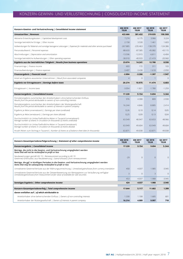# KONZERN-GEWINN- UND VERLUSTRECHNUNG | CONSOLIDATED INCOME STATEMENT

| Konzern-Gewinn- und Verlustrechnung   Consolidated income statement                                                                                          | 6M 2018<br><b>TEUR</b> | 6M 2017<br><b>TEUR</b> | Q2 2018<br><b>TEUR</b> | Q2 2017<br><b>TEUR</b> |
|--------------------------------------------------------------------------------------------------------------------------------------------------------------|------------------------|------------------------|------------------------|------------------------|
| Umsatzerlöse   Revenues                                                                                                                                      | 422.666                | 381.432                | 219.035                | 198.588                |
| Aktivierte Entwicklungskosten   Capitalized development costs                                                                                                | 7.274                  | 6.175                  | 3.966                  | 3.224                  |
| Sonstige betriebliche Erträge   Other income                                                                                                                 | 2.158                  | 3.530                  | 1.461                  | 1.603                  |
| Aufwendungen für Material und sonstige bezogene Leistungen   Expenses for materials and other services purchased                                             | $-267.885$             | $-235.463$             | $-138.370$             | $-124.386$             |
| Personalaufwand   Personnel expenses                                                                                                                         | $-88.633$              | $-87.585$              | $-45.082$              | $-43.115$              |
| Abschreibungen   Depreciation and amortization                                                                                                               | $-13.596$              | $-12.915$              | $-6.811$               | $-6.404$               |
| Sonstige betriebliche Aufwendungen   Other operating expenses                                                                                                | $-38.910$              | $-40.933$              | $-21.419$              | $-20.960$              |
| Ergebnis aus der betrieblichen Tätigkeit   Results from business operations                                                                                  | 23.074                 | 14.241                 | 12.780                 | 8.550                  |
| Finanzerträge   Finance income                                                                                                                               | 603                    | 172                    | 311                    | 103                    |
| Finanzaufwendungen   Finance expenses                                                                                                                        | $-3.407$               | $-3.438$               | $-1.618$               | $-2.050$               |
| Finanzergebnis   Financial result                                                                                                                            | $-2.804$               | $-3.266$               | $-1.307$               | $-1.947$               |
| Anteil am Ergebnis assoziierter Unternehmen   Result from associated companies                                                                               | $\overline{4}$         | $\mathbf{0}$           |                        | $\mathbf{0}$           |
| Ergebnis vor Ertragsteuern   Earnings before taxes                                                                                                           | 20.274                 | 10.975                 | 11.474                 | 6.603                  |
| Ertragsteuern   Income taxes                                                                                                                                 | $-3.054$               | $-1.821$               | $-1.780$               | $-1.259$               |
| Konzernergebnis   Consolidated income                                                                                                                        | 17.220                 | 9.154                  | 9.694                  | 5.344                  |
| Periodenergebnis zurechenbar den Anteilsinhabern ohne beherrschenden Einfluss<br>Results from the period attributable to owners of non-controlling interests | 976                    | 4.308                  | 809                    | 2.930                  |
| Periodenergebnis zurechenbar den Anteilsinhabern der Muttergesellschaft<br>Results from the period attributable to owners of interests in parent company     | 16.244                 | 4.846                  | 8.885                  | 2.414                  |
| Ergebnis je Aktie (unverwässert)   Earnings per share (undiluted)                                                                                            | 0,26                   | 0,10                   | 0,14                   | 0,05                   |
| Ergebnis je Aktie (verwässert)   Earnings per share (diluted)                                                                                                | 0,25                   | 0,09                   | 0,13                   | 0,04                   |
| Durchschnittlich im Umlauf befindliche Aktien in Tausend (unverwässert)<br>Average number of shares in circulation (in thousands of shares undiluted)        | 63.549                 | 48.947                 | 63.653                 | 48.966                 |
| Durchschnittlich im Umlauf befindliche Aktien in Tausend (verwässert)<br>Average number of shares in circulation (in thousands of shares diluted)            | 63.949                 | 49.604                 | 63.949                 | 49.604                 |
| Anzahl Aktien zum Stichtag in Tausend   Number of shares as of balance sheet date (in thousands)                                                             | 63.871                 | 49.038                 | 63.871                 | 49.038                 |

| Konzern-Gesamtperiodenerfolgsrechnung   Statement of other comprehensive income                                                                                                                | 6M 2018<br><b>TEUR</b> | 6M 2017<br><b>TEUR</b> | 02 2018<br><b>TEUR</b> | 02 2017<br><b>TEUR</b> |
|------------------------------------------------------------------------------------------------------------------------------------------------------------------------------------------------|------------------------|------------------------|------------------------|------------------------|
| Konzernergebnis   Consolidated income                                                                                                                                                          | 17.220                 | 9.154                  | 9.694                  | 5.344                  |
| Beträge, die nicht in die Gewinn- und Verlustrechnung umgegliedert werden<br>Items that will not be reclassified to profit or loss                                                             |                        |                        |                        |                        |
| Neubewertungen gemäß IAS 19   Remeasurement according to IAS 19<br>Gewinne(+)/Verluste(-) aus Neubewertung   Gains(+)/losses(-) from remeasurement                                             | $-29$                  | $\Omega$               | $\Omega$               |                        |
| Beträge, die ggf. in künftigen Perioden in die Gewinn- und Verlustrechnung umgegliedert werden<br>Items that may be subsequently reclassified to profit or loss                                |                        |                        |                        |                        |
| Unrealisierte Gewinne/Verluste aus der Währungsumrechnung   Unrealized gains/losses from currency translation                                                                                  | 450                    | $-4.037$               | 1.985                  | $-3.945$               |
| Unrealisierte Gewinne/Verluste aus der Zeitwertbewertung von Wertpapieren zur Veräußerung verfügbar<br>Unrealized gains/losses from measurement at fair value of available for sale securities | 3                      | $\Omega$               | $\mathcal{R}$          |                        |
|                                                                                                                                                                                                | 453                    | $-4.037$               | 1.988                  | $-3.945$               |
| Sonstiges Ergebnis   Other comprehensive income                                                                                                                                                | 424                    | $-4.037$               | 1.988                  | $-3.945$               |
| Konzern-Gesamtperiodenerfolg   Total comprehensive income                                                                                                                                      | 17.644                 | 5.117                  | 11.682                 | 1.399                  |
| davon entfallen auf   of which attributable to                                                                                                                                                 |                        |                        |                        |                        |
| Anteilsinhaber ohne beherrschenden Einfluss   Owners of non-controlling interests                                                                                                              | 1.330                  | 1.108                  | 1.685                  | 681                    |
| Anteilsinhaber der Muttergesellschaft   Owners of interests in parent company                                                                                                                  | 16.314                 | 4.009                  | 9.997                  | 718                    |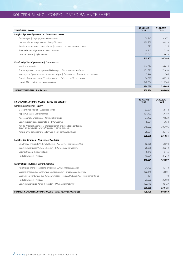# KONZERN-BILANZ | CONSOLIDATED BALANCE SHEET

| VERMÖGEN   Assets                                                                    | 30.06.2018<br><b>TEUR</b> | 31.12.2017<br><b>TEUR</b> |
|--------------------------------------------------------------------------------------|---------------------------|---------------------------|
| Langfristige Vermögenswerte   Non-current assets                                     |                           |                           |
| Sachanlagen   Property, plant and equipment                                          | 30.745                    | 31.871                    |
| Immaterielle Vermögenswerte   Intangible assets                                      | 189.759                   | 189.929                   |
| Anteile an assoziierten Unternehmen   Investments in associated companies            | 320                       | 316                       |
| Finanzielle Vermögenswerte   Financial assets                                        | 14.243                    | 17.258                    |
| Latente Steuern   Deferred taxes                                                     | 27,040                    | 28.610                    |
|                                                                                      | 262.107                   | 267.984                   |
| Kurzfristige Vermögenswerte   Current assets                                         |                           |                           |
| Vorräte   Inventories                                                                | 116.524                   | 104.016                   |
| Forderungen aus Lieferungen und Leistungen   Trade accounts receivable               | 151.870                   | 171.058                   |
| Vertragsvermögenswerte aus Kundenverträgen   Contract assets from customer contracts | 3.444                     | 1.346                     |
| Sonstige Forderungen und Vermögenswerte   Other receivables and assets               | 64.817                    | 43.519                    |
| Liquide Mittel   Cash and cash equivalents                                           | 140.034                   | 216.946                   |
|                                                                                      | 476.689                   | 536.885                   |
| SUMME VERMÖGEN   Total assets                                                        | 738.796                   | 804.869                   |

| EIGENKAPITAL UND SCHULDEN   Equity and liabilities                                                                                      | 30.06.2018<br><b>TEUR</b> | 31.12.2017<br><b>TEUR</b> |
|-----------------------------------------------------------------------------------------------------------------------------------------|---------------------------|---------------------------|
| Konzerneigenkapital   Equity                                                                                                            |                           |                           |
| Gezeichnetes Kapital   Subscribed capital                                                                                               | 63.871                    | 63.442                    |
| Kapitalrücklage   Capital reserves                                                                                                      | 164.463                   | 167.789                   |
| Angesammelte Ergebnisse   Accumulated results                                                                                           | 87.472                    | 79.529                    |
| Sonstige Eigenkapitalbestandteile   Other reserves                                                                                      | $-5.584$                  | $-5.654$                  |
| Auf die Anteilsinhaber der Muttergesellschaft entfallendes Eigenkapital<br>Equity attributable to owners of interests in parent company | 310.222                   | 305.106                   |
| Anteile ohne beherrschenden Einfluss   Non-controlling interests                                                                        | 25.354                    | 26.745                    |
|                                                                                                                                         | 335.576                   | 331.851                   |
| Langfristige Schulden   Non-current liabilities                                                                                         |                           |                           |
| Langfristige finanzielle Verbindlichkeiten   Non-current financial liabilities                                                          | 62.076                    | 68.694                    |
| Sonstige langfristige Verbindlichkeiten   Other non-current liabilities                                                                 | 26.956                    | 35.219                    |
| Latente Steuern   Deferred taxes                                                                                                        | 8.148                     | 9.465                     |
| Rückstellungen   Provisions                                                                                                             | 19.681                    | 21.219                    |
|                                                                                                                                         | 116.861                   | 134.597                   |
| Kurzfristige Schulden   Current liabilities                                                                                             |                           |                           |
| Kurzfristige finanzielle Verbindlichkeiten   Current financial liabilities                                                              | 31.720                    | 46.440                    |
| Verbindlichkeiten aus Lieferungen und Leistungen   Trade accounts payable                                                               | 122.145                   | 154.801                   |
| Vertragsverpflichtungen aus Kundenverträgen   Contract liabilities from customer contracts                                              | 124                       | 73                        |
| Rückstellungen   Provisions                                                                                                             | 29.660                    | 36.680                    |
| Sonstige kurzfristige Verbindlichkeiten   Other current liabilities                                                                     | 102.710                   | 100.427                   |
|                                                                                                                                         | 286.359                   | 338.421                   |
| SUMME EIGENKAPITAL UND SCHULDEN   Total equity and liabilities                                                                          | 738.796                   | 804.869                   |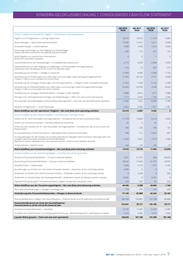# KONZERN-GELDFLUSSRECHNUNG | CONSOLIDATED CASH FLOW STATEMENT

|                                                                                                                                                                                                                                                             | 6M 2018<br><b>TEUR</b> | 6M 2017<br><b>TEUR</b> | Q2 2018<br><b>TEUR</b> | Q2 2017<br><b>TEUR</b>  |
|-------------------------------------------------------------------------------------------------------------------------------------------------------------------------------------------------------------------------------------------------------------|------------------------|------------------------|------------------------|-------------------------|
| Konzern-Cashflow aus betrieblicher Tätigkeit   Cash flows from operating activities                                                                                                                                                                         |                        |                        |                        |                         |
| Ergebnis vor Ertragssteuern   Earnings before taxes                                                                                                                                                                                                         | 20.274                 | 10.975                 | 11.474                 | 6.603                   |
| Abschreibungen   Depreciation and amortization                                                                                                                                                                                                              | 13.596                 | 12.915                 | 6.811                  | 6.404                   |
| Zinsaufwendungen   Interest expenses                                                                                                                                                                                                                        | 3.408                  | 3.438                  | 1.619                  | 2.050                   |
| Zinserträge und Erträge aus dem Abgang von Finanzanlagen<br>Interest and other income from the disposal of financial assets                                                                                                                                 | $-603$                 | $-172$                 | $-311$                 | $-103$                  |
| Anteil Ergebnis von assoziierten Unternehmen<br>Result from associated companies                                                                                                                                                                            | -4                     | $\theta$               | $-1$                   | $\mathbf 0$             |
| Zunahme/Abnahme der Rückstellungen   Increase/decrease of provisions                                                                                                                                                                                        | $-3.110$               | $-8.250$               | $-2.098$               | -4.993                  |
| Gewinne/Verluste aus dem Abgang von langfristigen nicht-finanziellen Vermögenswerten<br>Gains/losses from the disposal of non-current non-financial assets                                                                                                  | $-519$                 | $-15$                  | $-507$                 | $-272$                  |
| Veränderung von Vorräten   Changes in inventories                                                                                                                                                                                                           | $-11.820$              | $-6.858$               | $-5.969$               | $-1.755$                |
| Veränderung von Forderungen aus Lieferungen und Leistungen sowie Vertragsvermögenswerten<br>Changes in trade accounts receivable and contract assets                                                                                                        | 21.043                 | 36.162                 | $-2.731$               | 9.600                   |
| Veränderung von sonstigen Forderungen und Vermögenswerten   Changes in other receivables and assets                                                                                                                                                         | $-11.823$              | $-7.320$               | $-5.723$               | 4.209                   |
| Veränderung von Verbindlichkeiten aus Lieferungen und Leistungen sowie Vertragsverpflichtungen<br>Changes in trade accounts payable and contract liabilities                                                                                                | $-35.464$              | $-26.950$              | 4.938                  | $-8.534$                |
| Veränderung von sonstigen Verbindlichkeiten   Changes in other liabilities                                                                                                                                                                                  | $-9.088$               | $-8.441$               | 2.271                  | $-7.080$                |
| Sonstige nicht zahlungswirksame Erträge und Aufwendungen   Other non-cash income and expenses                                                                                                                                                               | 1.214                  | $-4.462$               | 1.166                  | $-2.346$                |
| Aus laufender Geschäftstätigkeit erwirtschaftete Zahlungsmittel   Cash and cash equivalents from operations                                                                                                                                                 | $-12.896$              | 1.022                  | 10.939                 | 3.783                   |
| Gezahlte Ertragssteuern   Income taxes paid                                                                                                                                                                                                                 | $-3.023$               | $-5.609$               | $-1.017$               | $-3.781$                |
| Netto-Geldfluss aus der operativen Tätigkeit   Net cash flows from operating activities                                                                                                                                                                     | $-15.919$              | $-4.587$               | 9.922                  | $\overline{\mathbf{2}}$ |
| Konzern-Cashflow aus der Investitionstätigkeit   Cash flows from investing activities                                                                                                                                                                       |                        |                        |                        |                         |
| Erwerb von Ifr. nicht-finanziellen Vermögenswerten   Purchase of non-current non-financial assets                                                                                                                                                           | $-11.279$              | $-10.603$              | $-6.515$               | $-4.929$                |
| Erwerb von Finanzinstrumenten   Purchase of financial instruments                                                                                                                                                                                           | $-32$                  | $\mathbf{0}$           | $-32$                  | $\mathbf{0}$            |
| Erlöse aus dem Verkauf von Ifr. nicht-finanziellen Vermögenswerten   Proceeds from sale of non-current non-<br>finacal assetss                                                                                                                              | 764                    | 225                    | 590                    | 181                     |
| Ein-/Auszahlung für Finanzinstrumente   Disposal/purchase of financial instruments                                                                                                                                                                          | 428                    | 121                    | $-2.463$               | $-681$                  |
| Ein-/Auszahlungen für den Erwerb von Tochterunternehmen abzüglich übernommener Zahlungsmittel und<br>zuzüglich übernommener Kontokorrentverbindlichkeiten<br>Payment to acquire subsidiaries less cash assumed and plus current account liabilities assumed | $-4.233$               | $-5.635$               | $-3.727$               | $-5.508$                |
| Zinseinnahmen   Interest income                                                                                                                                                                                                                             | 442                    | 118                    | 254                    | 78                      |
| Netto-Geldfluss aus Investitionstätigkeit   Net cash flows from investing activities                                                                                                                                                                        | $-13.910$              | $-15.774$              | $-11.893$              | $-10.859$               |
| Konzern-Cashflow aus der Finanzierungstätigkeit   Cash flows from financing activities                                                                                                                                                                      |                        |                        |                        |                         |
| Aufnahme Finanzverbindlichkeiten   Increase in financial liabilities                                                                                                                                                                                        | 1.851                  | 31.372                 | 868                    | 28.654                  |
| Rückzahlung Finanzverbindlichkeiten   Decrease in financial liabilities                                                                                                                                                                                     | $-30.432$              | $-31.066$              | $-21.791$              | $-24.657$               |
| Gezahlte Zinsen   Interests paid                                                                                                                                                                                                                            | $-2.968$               | $-3.710$               | $-1.677$               | $-2.781$                |
| Auszahlungen aus Erwerb von nicht beherrschenden Anteilen   Acquisition of non-controlling interests                                                                                                                                                        | $-6.998$               | $\mathbf{0}$           | $\mathbf 0$            | 0                       |
| Dividenden an Anteile ohne beherrschenden Einfluss   Dividends to owners of non-controlling interests                                                                                                                                                       | $\overline{0}$         | $-2.336$               | $\mathbf 0$            | $-583$                  |
| Dividenden an Anteilsinhaber der Muttergesellschaft   Dividends to owners of interests in parent company                                                                                                                                                    | $-8.301$               | $\mathbf{0}$           | $-8.301$               | $\mathbf 0$             |
| Kapitalerhöhung (abzüglich Transaktionskosten)   Capital increase (less transaction costs)                                                                                                                                                                  | 318                    | 532                    | 52                     | 532                     |
| Netto-Geldfluss aus der Finanzierungstätigkeit   Net cash flows from financing activities                                                                                                                                                                   | -46.530                | $-5.208$               | $-30.849$              | 1.165                   |
| Wechselkursveränderungen   Changes in exchange rates                                                                                                                                                                                                        | $-779$                 | 479                    | 277                    | $-495$                  |
| Veränderung des Finanzmittelbestandes   Changes in financial funds                                                                                                                                                                                          | $-77.138$              | $-25.090$              | -32.543                | $-10.187$               |
| Finanzmittelbestand zu Beginn des Geschäftsjahres   Financial funds as of the beginning of the financial year                                                                                                                                               | 200.769                | 103.801                | 157.738                | 88.898                  |
| Finanzmittelbestand am Ende des Geschäftsjahres<br>Financial funds as of the end of the financial year                                                                                                                                                      | 123.631                | 78.711                 | 125.195                | 78.711                  |
| Kontokorrentverbindlichkeiten   Overdrafts                                                                                                                                                                                                                  | 13.187                 | 17.487                 | 13.187                 | 17.487                  |
| Guthaben bei Kreditinstituten mit Verfügungsbeschränkung   Restricted-disposition credit balances at banks                                                                                                                                                  | 3.216                  | 4.962                  | 3.216                  | 4.962                   |
| Liquide Mittel gesamt   Total cash and cash equivalents                                                                                                                                                                                                     | 140.034                | 101.160                | 141.598                | 101.160                 |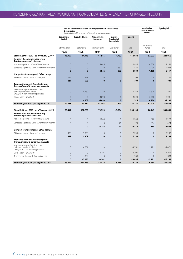|                                                                                                  | Auf die Anteilsinhaber der Muttergesellschaft entfallendes<br>Eigenkapital<br>Equity attributable to owners of interests in parent company |                  |                            |                                           |             | <b>Anteile ohne</b><br>beherrschenden<br><b>Einfluss</b> | Eigenkapital |
|--------------------------------------------------------------------------------------------------|--------------------------------------------------------------------------------------------------------------------------------------------|------------------|----------------------------|-------------------------------------------|-------------|----------------------------------------------------------|--------------|
|                                                                                                  | Gezeichnetes<br>Kapital                                                                                                                    | Kapitalrücklagen | Angesammelte<br>Ergebnisse | Sonstige<br>Eigenkapital-<br>bestandteile | Gesamt      |                                                          |              |
|                                                                                                  | Subscribed capital                                                                                                                         | Capital reserves | Accumulated results        | Other reserves                            | Total       | Non-controlling<br>interests                             | Equity       |
|                                                                                                  | <b>TEUR</b>                                                                                                                                | <b>TEUR</b>      | <b>TEUR</b>                | <b>TEUR</b>                               | <b>TEUR</b> | <b>TEUR</b>                                              | <b>TEUR</b>  |
| Stand 1. Jänner 2017   as of January 1, 2017                                                     | 48.927                                                                                                                                     | 44.945           | 61.915                     | $-1.753$                                  | 154.034     | 87.022                                                   | 241.056      |
| Konzern-Gesamtperiodenerfolg<br><b>Total comprehensive income</b>                                |                                                                                                                                            |                  |                            |                                           |             |                                                          |              |
| Konzernergebnis   Consolidated income                                                            | $\overline{0}$                                                                                                                             | $\overline{0}$   | 4.846                      | $\overline{0}$                            | 4.846       | 4.308                                                    | 9.154        |
| Sonstiges Ergebnis   Other comprehensive income                                                  | $\overline{0}$                                                                                                                             | $\overline{0}$   | $\overline{0}$             | $-837$                                    | $-837$      | $-3.200$                                                 | $-4.037$     |
|                                                                                                  | Ō                                                                                                                                          | $\mathbf{0}$     | 4.846                      | $-837$                                    | 4.009       | 1.108                                                    | 5.117        |
| Ubrige Veränderungen   Other changes                                                             |                                                                                                                                            |                  |                            |                                           |             |                                                          |              |
| Aktienoptionen   Stock options plan                                                              | 111                                                                                                                                        | 598              | $\overline{0}$             | $\overline{0}$                            | 709         | $\overline{0}$                                           | 709          |
| Transaktionen mit Anteilseignern<br><b>Transactions with owners of interests</b>                 | 111                                                                                                                                        | 598              | $\mathbf{0}$               | $\mathbf{0}$                              | 709         | $\mathbf{0}$                                             | 709          |
| Veränderung von Anteilen ohne<br>beherrschenden Einfluss<br>Changes in non-controlling interests | $\overline{0}$                                                                                                                             | 4.369            | $\overline{0}$             | $\overline{0}$                            | 4.369       | $-4.618$                                                 | $-249$       |
| Dividenden   Dividends                                                                           | $\overline{0}$                                                                                                                             | $\overline{0}$   | $-4.893$                   | $\mathbf 0$                               | $-4.893$    | $-2.088$                                                 | $-6.981$     |
|                                                                                                  | $\mathbf{0}$                                                                                                                               | 4.369            | $-4.893$                   | $\mathbf{0}$                              | $-524$      | $-6.706$                                                 | $-7.230$     |
| Stand 30. Juni 2017   as of June 30, 2017                                                        | 49.038                                                                                                                                     | 49.912           | 61.868                     | $-2.590$                                  | 158.228     | 81.424                                                   | 239.652      |
|                                                                                                  |                                                                                                                                            |                  |                            |                                           |             |                                                          |              |
| Stand 1. Jänner 2018   as of January 1, 2018                                                     | 63.442                                                                                                                                     | 167.789          | 79.529                     | $-5.654$                                  | 305.106     | 26.745                                                   | 331.851      |
| Konzern-Gesamtperiodenerfolg<br><b>Total comprehensive income</b>                                |                                                                                                                                            |                  |                            |                                           |             |                                                          |              |
| Konzernergebnis   Consolidated income                                                            | $\mathbf{0}$                                                                                                                               | $\mathbf 0$      | 16.244                     | $\mathbf 0$                               | 16.244      | 976                                                      | 17.220       |
| Sonstiges Ergebnis   Other comprehensive income                                                  | $\mathbf 0$                                                                                                                                | $\overline{0}$   | $\overline{0}$             | 70                                        | 70          | 354                                                      | 424          |
|                                                                                                  | 0                                                                                                                                          | $\mathbf 0$      | 16.244                     | 70                                        | 16.314      | 1.330                                                    | 17.644       |
| Ubrige Veränderungen   Other changes                                                             |                                                                                                                                            |                  |                            |                                           |             |                                                          |              |
| Aktienoptionen   Stock options plan                                                              | 429                                                                                                                                        | 1.809            | $\mathbf{0}$               | $\mathbf 0$                               | 2.238       | $\mathbf{0}$                                             | 2.238        |
|                                                                                                  | 429                                                                                                                                        | 1.809            | $\mathbf{0}$               | $\mathbf{0}$                              | 2.238       | $\mathbf{0}$                                             | 2.238        |
| Transaktionen mit Anteilseignern<br><b>Transactions with owners of interests</b>                 |                                                                                                                                            |                  |                            |                                           |             |                                                          |              |
| Veränderung von Anteilen ohne<br>beherrschenden Einfluss<br>Changes in non-controlling interests | $\mathbf 0$                                                                                                                                | $-4.751$         | $\theta$                   | $\mathbf 0$                               | $-4.751$    | $-2.721$                                                 | $-7.472$     |
| Dividenden   Dividends                                                                           | 0                                                                                                                                          | $\mathbf 0$      | $-8.301$                   | $\mathbf 0$                               | $-8.301$    | $\mathbf 0$                                              | $-8.301$     |
| Transaktionskosten   Transaction costs                                                           | 0                                                                                                                                          | $-384$           | $\mathbf{0}$               | $\mathbf 0$                               | $-384$      | 0                                                        | $-384$       |
|                                                                                                  | $\bf{0}$                                                                                                                                   | $-5.135$         | $-8.301$                   | $\bf{0}$                                  | $-13.436$   | $-2.721$                                                 | $-16.157$    |
| Stand 30. Juni 2018   as of June 30, 2018                                                        | 63.871                                                                                                                                     | 164.463          | 87.472                     | $-5.584$                                  | 310.222     | 25.354                                                   | 335.576      |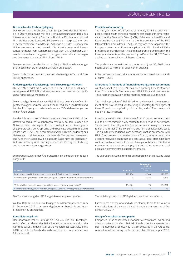# ERLÄUTERUNGEN | NOTES

#### **Grundsätze der Rechnungslegung**

Der Konzernzwischenabschluss zum 30. Juni 2018 der S&T AG wurde in Übereinstimmung mit den Rechnungslegungsstandards des International Accounting Standards Board (IASB), den International Financial Reporting Standards (IFRS) sowie den Interpretationen des IFRS Interpretation Committee (IFRS IC), wie sie in der Europäischen Union anzuwenden sind, erstellt. Die Bilanzierungs- und Bewertungsgrundsätze vom Konzernabschluss zum 31. Dezember 2017 werden unverändert angewandt, ausgenommen die Änderungen aus den neuen Standards IFRS 15 und IFRS 9.

Der Konzernzwischenabschluss zum 30. Juni 2018 wurde weder geprüft noch einer prüferischen Durchsicht unterzogen.

Soweit nicht anders vermerkt, werden alle Beträge in Tausend Euro (TEUR) angegeben.

#### **Änderungen der Bilanzierungs- und Bewertungsmethoden**

Die S&T AG wendet mit 1. Jänner 2018 IFRS 15 Erlöse aus Kundenverträgen und IFRS 9 Finanzinstrumente an und wendet die modifizierte retrospektive Methode an.

Die erstmalige Anwendung von IFRS 15 führte beim Verkauf von Eigentechnologieprodukten, Verkauf von IT Produkten von Dritten und bei der Erbringung von wiederkehrenden IT-Betriebsleistungen zu keinen Änderungen.

Bei der Erbringung von IT-Projektleistungen wird nach IFRS 15 der Umsatz weiterhin zeitraumbezogen realisiert, da dem Kunden der Nutzen aus der Leistung des Konzerns zufließt und er diesen gleichzeitig verbraucht. Der Anspruch auf die bedingte Gegenleistung wird jedoch nach IFRS 15 bei einem aktiven Saldo nicht als Forderung aus Lieferungen und Leistungen sondern als Vertragsvermögenswert aus Kundenverträgen bzw. bei passivem Saldo nicht als Verbindlichkeit aus Lieferung und Leistung sondern als Vertragsverpflichtung aus Kundenverträgen ausgewiesen.

Die daraus resultierenden Änderungen sind in der folgenden Tabelle dargestellt:

#### **Principles of accounting**

The half-year report of S&T AG as of June 30, 2018 has been compiled according to the financial reporting standards of the International Accounting Standards Board (IASB), of the International Financial Reporting Standards (IFRS) and to the interpretations of the IFRS Interpretation Committee (IFRS IC), as they are to be applied in the European Union. Apart from the application to IAS 15 and IAS 9, the principles of financial reporting and measurement employed in the financial statements for the year ending on December 31, 2017 were applied to the compilation of these accounts.

The preliminary consolidated accounts as of June 30, 2018 have been subject to neither an audit nor an auditing.

Unless otherwise noted, all amounts are denominated in thousands of euros (TEUR).

### **Alterations in methods of financial reporting and measurement**

As of January 1, 2018, S&T AG has been applying IFRS 15 Revenue from Contracts with Customers and IFRS 9 Financial Instruments. This entails the utilization of the modified retrospective method.

The initial application of IFRS 15 led to no changes in the measurement of the sale of products featuring proprietary technologies, of those IT products supplied by third parties, and of IT services provided on a recurring basis.

In accordance with IFRS 15, revenues from IT project services continue to be recognized in a way related to their period of occurrence. This is due to the utility of the Group's service accruing to the customer, and to her or his consuming such on a simultaneous basis. The claim to get conditional consideration is not, in accordance with IFRS 15 and in case of a positive balance from it, reported as a trade account receivable, but rather as a contractual asset stemming from contracts with customers. In cases of a negative balance, this item is not reported as a trade account payable, but, rather, as a contractual obligation stemming from customer contacts.

The alterations ensuing from this are depicted in the following table:

| <b>I</b> in TEUR                                                                           | 31.12.2017 | <b>Anpassung</b><br><b>IFRS 15</b><br>Adjustment<br><b>IFRS 15</b> | 1.1.2018 |
|--------------------------------------------------------------------------------------------|------------|--------------------------------------------------------------------|----------|
| Forderungen aus Lieferungen und Leistungen   Trade accounts receivable                     | 172.404    | $-1.346$                                                           | 171.058  |
| Vertragsvermögenswerte aus Kundenverträgen   Contract assets from customer contracts       |            | 1.346                                                              | 1.346    |
|                                                                                            |            |                                                                    |          |
| Verbindlichkeiten aus Lieferungen und Leistungen   Trade accounts payable                  | 154.874    | $-73$                                                              | 154.801  |
| Vertragsverpflichtungen aus Kundenverträgen   Contract liabilities from customer contracts |            | 73                                                                 | 73       |

Die Erstanwendung des IFRS 9 ergab keinen Anpassungseffekt.

Weitere Details sind den Erläuterungen zum Konzernabschluss zum 31. Dezember 2017 zu neuen und geänderten Standards und Interpretationen zu entnehmen.

#### **Konsolidierungskreis**

Der Konzernabschluss umfasst die S&T AG und alle Tochtergesellschaften, an denen die S&T AG unmittelbar oder mittelbar die Kontrolle ausübt. In den ersten sechs Monaten des Geschäftsjahres 2018 hat sich die Anzahl der vollkonsolidierten Unternehmen wie folgt entwickelt:

The initial application of IFRS 9 yielded no adjustment effects.

Further details of the new and altered standards are to be found in the elucidations of the consolidated financial statements as of December 31, 2017.

#### **Group of consolidated companies**

Comprised in the consolidated financial statements are S&T AG and all subsidiaries upon which S&T AG directly or indirectly exerts control. The number of companies fully consolidated in the Group developed as follows during the first six months of financial year 2018: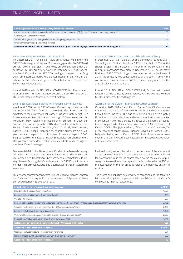| Konzerngesellschaften (Anzahl)   Group companies (number)                                                              | 2018 |
|------------------------------------------------------------------------------------------------------------------------|------|
| Anzahl der voll konsolidierten Gesellschaften zum 1. Jänner   Number of fully-consolidated companies as of January 1st | 65   |
| Gründungen   Companies founded                                                                                         |      |
| Verschmelzungen von Konzerngesellschaften   Merger of group companies                                                  |      |
| Unternehmenserwerbe   Companies acquired                                                                               | 7    |
| Anzahl der voll konsolidierten Gesellschaften zum 30. Juni   Number of fully-consolidated companies as of June 30th    | 72   |

#### Veränderung des Konsolidierungskreises 2018

Im Dezember 2017 hat die S&T Mold srl, Chisinau, Moldawien, die S&T IT Technology srl, Chisinau, Moldawien gegründet. Die S&T Mold srl hält 100% an der S&T IT Technology srl. Die Eintragung der Gesellschaft im Firmenregister erfolgte im Dezember 2017. Die operative Geschäftstätigkeit der S&T IT Technology srl begann mit Anfang 2018, ab diesem Zeitpunkt wird die Gesellschaft in den Konzernabschluss der S&T AG einbezogen. Die Gesellschaft ist im Bereich der Softwareentwicklung tätig.

Im April 2018 wurde die INDUSTRIAL COMPUTERS Ltd., Easthamnett, Großbritannien, als übertragende Gesellschaft auf die Kontron UK Ltd., Chichester, Großbritannien, verschmolzen.

#### Erwerb des Geschäftsbereiches "International Carrier Business"

Am 4. April 2018 hat die S&T AG einen Kaufvertrag mit der Kapsch CarrierCom AG, Wien, Österreich, betreffend dem Erwerb des Geschäftsbereiches "International Carrier Business" unterfertigt. Der übernommene Geschäftsbereich erbringt IT-Dienstleistungen für Mobilfunk- bzw. Telekommunikationsunternehmen. Im Zuge der Transaktion wurden jeweils 100% der Geschäftsanteile an der Foreign Trade Unitary Enterprise "Kapsch", Minsk, Weißrussland, Kapsch DOOEL, Skopje, Mazedonien, Kapsch CarrierCom d.o.o., Zagreb, Kroatien, Kapsch d.o.o., Ljubljana, Slowenien, Kapsch D.O.O. Belgrad, Serbien, und Kapsch EOOD, Sofia, Bulgarien, übernommen. Des Weiteren wurde der Geschäftsbereich in Österreich im Zuge eines Asset-Deals übertragen.

Der ausschließlich fixe Barkaufpreis für den Anteilserwerb beträgt TEUR 631 und setzt sich aus dem Barkaufpreis für den Erwerb der im Rahmen der Transaktion übernommenen Geschäftsanteile abzüglich einer Zahlung des Veräußerers an die S&T für die Übernahme der Reinvermögenswerte des Geschäftsbereiches in Österreich zusammen.

Die erworbenen Vermögenswerte und Schulden wurden im Rahmen der Erstkonsolidierung im Konzernabschluss mit folgenden vorläufigen beizulegenden Zeitwerten erfasst:

#### Changes in 2018 in companies consolidated into the Group

In December 2017 S&T Mold srl, Chisinau, Moldova, founded S&T IT Technology srl, Chisinau, Moldova. S&T Mold srl holds 100% of the shares of S&T IT Technology srl. The entry of the company in the registry of companies took place in December 2017. The operative business of S&T IT Technology srl was launched at the beginning of 2018. The company was consolidated as of this point in time in the consolidated balance sheet of S&T AG. The company is active in the area of software development.

In April 2018, INDUSTRIAL COMPUTERS Ltd., Easthamnett, United Kingdom, as the company being merged, was merged into Kontron UK Ltd., Chichester, United Kingdom.

#### Acquisition of the division "International Carrier Business"

On April 4, 2018, S&T AG and Kapsch CarrierCom AG, Vienna, Austria, signed a contract of purchase for the latter's division "International Carrier Business". The business division taken over supplies IT services to mobile telephony and telecommunications companies. In conjunction with the transaction, 100% of the shares of respectively Foreign Trade Unitary Enterprise "Kapsch", Minsk, Belarus, of Kapsch DOOEL, Skopje, Macedonia; of Kapsch CarrierCom d.o.o., Zagreb, Croatia; of Kapsch d.o.o., Ljubljana, Slovenia, of Kapsch D.O.O. Belgrade, Serbia, and of Kapsch EOOD, Sofia, Bulgaria were taken over. In a further move, the business division in Austria was transferred via an asset deal.

Paid exclusively in cash, the price for the purchase of the shares and assets came to TEUR 631. This is comprised of the price established for payments in cash for the shares taken over in the course of pursuing the transaction less a payment made by the seller to S&T for the assumption of the net asset transfer of the business division in Austria.

The assets and liabilities acquired were recognized at the following fair values during the company's initial consolidation in the Group's consolidated financial statements:

| Erworbenes Nettovermögen   Net assets acquired                                                                             | in TEUR  |
|----------------------------------------------------------------------------------------------------------------------------|----------|
| Liquide Mittel   Cash and cash equivalents                                                                                 | 1.629    |
| Langfristige Vermögenswerte   Non-current assets                                                                           | 444      |
| Vorräte   Inventories                                                                                                      | 637      |
| Forderungen aus Lieferungen und Leistungen (Nominalwert TEUR 4.122)   Trade accounts receivable (nominal value TEUR 4.122) | 3.796    |
| Sonstige Forderungen und Vermögenswerte   Other receivables and assets                                                     | 2.460    |
| Langfristige Schulden   Non-current liabilities                                                                            | $-1.470$ |
| Verbindlichkeiten aus Lieferungen und Leistungen   Trade accounts payable                                                  | $-2.803$ |
| Sonstige kurzfristige Verbindlichkeiten   Other current liabilities                                                        | $-4.141$ |
| Nettovermögen zum beizulegenden Zeitwert   Net assets at fair value                                                        | 552      |
| Geschäfts- oder Firmenwert   Goodwill                                                                                      | in TEUR  |
| Übertragene Gegenleistung   Consideration transferred                                                                      | 631      |
| Nettovermögen zum beizulegenden Zeitwert   Net assets at fair value                                                        | $-552$   |
| Geschäfts- oder Firmenwert   Goodwill                                                                                      | 79       |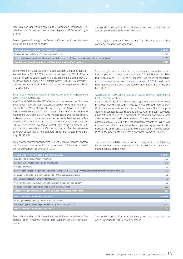Der sich aus der vorläufigen Kaufpreisallokation ergebende Geschäfts- oder Firmenwert wurde dem Segment "IT Services" zugeordnet.

Die Analyse des Zahlungsmittelflusses aufgrund des Unternehmenserwerbs stellt sich wie folgt dar:

The goodwill arising from the preliminary purchase price allocation was assigned to the "IT Services" segment.

The analysis of the cash flows arising from the acquisition of the company takes the following form:

| Nettozahlungsmittelfluss   Net flow of cash                                                         | in TEUR  |
|-----------------------------------------------------------------------------------------------------|----------|
| Kaufpreis in bar beglichen   Purchase price paid in cash                                            | 2.940    |
| Mit dem Tochterunternehmen übernommene Zahlungsmittel   Cash assumed through takeover of subsidiary | $-1.629$ |
| <b>Cashflow aus Investitionstätigkeit</b> $ $ Cash flow from investing activities                   | 1.311    |

Die erworbenen Gesellschaften haben seit dem Zeitpunkt der Vollkonsolidierung TEUR 3.999 zum Konzernumsatz und TEUR -83 zum Konzernergebnis beigetragen. Wäre die Erstkonsolidierung der Gesellschaft zum 1. Jänner 2018 erfolgt, hätten sich die Umsatzerlöse des Konzerns um TEUR 3.495 und das Konzernergebnis um TEUR 112 verändert.

#### Erwerb von 100% der Anteile an der Active Internet Performance GmbH, Wien, Österreich

Am 23. April 2018 hat die S&T AG einen Abtretungsvertrag über den Erwerb von 100% der Geschäftsanteile an der Active Internet Performance GmbH, Wien, Österreich, unterfertigt. Die Active Internet Performance GmbH ist ein IT-Dienstleister mit namhaften Kunden und hat sich im Laufe der letzten Jahre im Bereich Netzwerk spezialisiert, insbesondere auf Local Area Networks und Wide Area Networks. Die Gesellschaft wird ab dem 1. Mai 2018 in den Konzernabschluss der S&T AG einbezogen, da gemäß Abtretungsvertrag ab diesem Zeitpunkt sämtliche Rechte und Pflichten auf den Käufer übergegangen sind. Der ausschließlich fixe Barkaufpreis für den Anteilserwerb beträgt TEUR 500.

Die erworbenen Vermögenswerte und Schulden wurden im Rahmen der Erstkonsolidierung im Konzernabschluss mit folgenden vorläufigen beizulegenden Zeitwerten erfasst:

Since being fully consolidated in the consolidated financial accounts, the companies acquired have contributed TEUR 3,999 to consolidated revenues and TEUR -83 to net income. Had the initial consolidation of the companies taken place as of January 1, 2018, the Group's revenues would have been increased by TEUR 3,495, and net income by TEUR 112.

#### Acquisition of 100% of the shares of Active Internet Performance GmbH, Vienna, Austria

On April 23, 2018, S&T AG signed an assignment contract foreseeing the acquisition of 100% of the shares of Active Internet Performance GmbH, Vienna, Austria. Active Internet Performance GmbH is a provider of IT services to well-regarded clients. Over the past few years, it has established itself as a specialist for networks, particularly local area networks and wide area networks. The company was consolidated as of May 1, 2018 in the consolidated accounts of S&T AG, as this was the point in time set in the assignment agreement for the transferring of all rights and duties to the purchaser. Paid exclusively in cash, the price for the purchasing of shares came to TEUR 500.

The assets and liabilities acquired were recognized at the following fair values during the company's initial consolidation in the consolidated financial statements:

| Erworbenes Nettovermögen   Net assets acquired                                                                         | in TEUR |
|------------------------------------------------------------------------------------------------------------------------|---------|
| Liquide Mittel   Cash and cash equivalents                                                                             | 169     |
| Langfristige Vermögenswerte   Non-current assets                                                                       | 378     |
| Vorräte   Inventories                                                                                                  | 52      |
| Forderungen aus Lieferungen und Leistungen (Nominalwert TEUR 169)   Trade accounts receivable (nominal value TEUR 169) | 156     |
| Sonstige Forderungen und Vermögenswerte   Other receivables and assets                                                 | 56      |
| Passive latente Steuern   Deferred tax liabilities                                                                     | $-67$   |
| Verbindlichkeiten aus Lieferungen und Leistungen   Trade accounts payable                                              | -56     |
| Sonstige kurzfristige Verbindlichkeiten   Other current liabilities                                                    | $-232$  |
| Nettovermögen zum beizulegenden Zeitwert   Net assets at fair value                                                    | 456     |
| Geschäfts- oder Firmenwert   Goodwill                                                                                  | in TEUR |
| Übertragene Gegenleistung   Consideration transferred                                                                  | 500     |
| Nettovermögen zum beizulegenden Zeitwert   Net assets at fair value                                                    | $-456$  |
| Geschäfts- oder Firmenwert   Goodwill                                                                                  | 44      |

Der sich aus der vorläufigen Kaufpreisallokation ergebende Geschäfts- oder Firmenwert wurde dem Segment "IT Services" zugeordnet.

The goodwill arising from the preliminary purchase price allocation was assigned to the "IT Services" segment.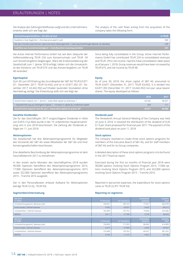Die Analyse des Zahlungsmittelflusses aufgrund des Unternehmenserwerbs stellt sich wie folgt dar:

The analysis of the cash flows arising from the acquisition of the company takes the following form:

| Nettozahlungsmittelfluss   Net flow of cash                                                         | in TEUR            |
|-----------------------------------------------------------------------------------------------------|--------------------|
| Kaufpreis in bar beglichen   Purchase price paid in cash                                            | 500                |
| Mit dem Tochterunternehmen übernommene Zahlungsmittel   Cash assumed through takeover of subsidiary | $-169$             |
| Cashflow aus Investitionstätigkeit   Cash flow from investing activities                            | \331 <sup>-1</sup> |

Die Active Internet Performance GmbH hat seit dem Zeitpunkt der Vollkonsolidierung TEUR 234 zum Konzernumsatz und TEUR -39 zum Konzernergebnis beigetragen. Wäre die Erstkonsolidierung der Gesellschaft zum 1. Jänner 2018 erfolgt, hätten sich die Umsatzerlöse des Konzerns um TEUR 675 und das Konzernergebnis um TEUR 48 verändert.

#### **Eigenkapital**

Zum 30. Juni 2018 betrug das Grundkapital der S&T AG TEUR 63.871 (31. Dezember 2017: TEUR 63.442) und ist in 63.871.392 (31. Dezember 2017: 63.442.392) auf Inhaber lautenden Stückaktien ohne Nennbetrag zerlegt. Die Entwicklung stellt sich wie folgt dar:

Since being fully consolidated in the Group, Active Internet Performance GmbH has contributed TEUR 234 to consolidated revenues and TEUR -39 to net income. Had the initial consolidation taken place as of January 1, 2018, Group revenues would have been increased by TEUR 675, and net income by TEUR 48.

#### **Equity**

As of June 30, 2018, the share capital of S&T AG amounted to TEUR 63,871 (December 31, 2017: TEUR 63,442). It is divided into 63,871,392 (December 31, 2017: 63,442,392) non-par value bearer shares. The equity developed as follows:

|                                                                                          | 2018   | 2017   |
|------------------------------------------------------------------------------------------|--------|--------|
| Gezeichnetes Kapital zum 1. Jänner   Subscribed capital as of January 1                  | 63.442 | 48.927 |
| $+$ Kapitalerhöhung aus bedingtem Kapital $+$ Increase in capital by conditional capital | 429    |        |
| Gezeichnetes Kapital zum 30. Juni   Subscribed capital as of June $30th$                 | 63.871 | 49.038 |

#### **Gezahlte Dividenden**

Die für das Geschäftsjahr 2017 vorgeschlagene Dividende in Höhe von EUR 0,13 je Aktie wurde in der 19. ordentlichen Hauptversammlung vom 4. Juni 2018 beschlossen. Die Zahlung der Dividende erfolgte am 11. Juni 2018.

#### **Aktienoptionen**

**Segmentberichterstattung**

Die Gesellschaft hat drei Aktienoptionsprogramme für Mitglieder des Vorstands der S&T AG sowie Mitarbeiter der S&T AG und ihrer Konzerngesellschaften beschlossen.

Eine detaillierte Beschreibung der Aktienoptionsprogramme ist dem Geschäftsbericht 2017 zu entnehmen.

In den ersten sechs Monaten des Geschäftsjahres 2018 wurden 90.000 Optionen betreffend des Aktienoptionsprogramms 2014, 17.000 Optionen betreffend des Aktienoptionsprogramms 2015 sowie 322.000 Optionen betreffend des Aktienoptionsprogramms 2015 – Tranche 2016 ausgeübt.

Der in den Personalkosten erfasste Aufwand für Aktienoptionen beträgt TEUR 22 (Vj.: TEUR 93).

#### **Dividends paid**

The Nineteenth Annual General Meeting of the Company was held on June 4, 2018. It resolved the distribution of the dividend of EUR 0.13 per share proposed for financial year 2017. The payment of the dividend took place on June 11, 2018.

#### **Stock options**

The company resolved to create three stock options programs for members of the Executive Board of S&T AG, and for staff members of S&T AG and for its Group companies.

A detailed description of these stock options programs is to be found in the 2017 financial report.

Exercised during the first six months of financial year 2018 were 90,000 options involving Stock Options Program 2014, 17,000 options involving Stock Options Program 2015, and 322,000 options involving Stock Options Program 2015 – Tranche 2016.

Reported in personnel expenses, the expenditure for stock options came to TEUR 22 (PY: TEUR 93).

*Total*

#### **Reporting on segments**

| 6M 2018<br>in TEUR                   | <b>IT Services</b> | <b>IoT Solutions</b> | <b>Embedded</b><br><b>Systems</b> | Gesamt<br>Tota |
|--------------------------------------|--------------------|----------------------|-----------------------------------|----------------|
| Umsatzerlöse gesamt   Revenues total | 199.941            | 185.310              | 77.627                            | 462.878        |
| Innenumsatz   Internal revenues      | $-7.032$           | $-29.557$            | $-3.623$                          | $-40.212$      |
| Umsatzerlöse   External revenues     | 192.909            | 155.753              | 74.004                            | 422.666        |
| <b>EBITDA</b>                        | 9.511              | 21.789               | 5.370                             | 36.670         |
|                                      |                    |                      |                                   |                |
|                                      |                    |                      |                                   |                |
| 6M 2017<br>in TEUR                   | <b>IT Services</b> | <b>IoT Solutions</b> | <b>Embedded</b><br><b>Systems</b> | Gesamt<br>Tota |
| Umsatzerlöse gesamt   Revenues total | 156.683            | 171.653              | 86.663                            | 414.999        |
| Innenumsatz   Internal revenues      | $-3.215$           | $-27.890$            | $-2.462$                          | $-33.567$      |
| Umsatzerlöse   External revenues     | 153.468            | 143.763              | 84.201                            | 381.432        |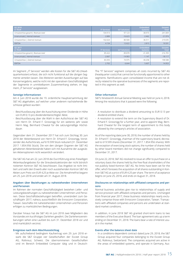| Q22018<br>in TEUR                                         | <b>IT Services</b> | <b>IoT Solutions</b> | <b>Embedded</b><br><b>Systems</b> | Gesamt<br><b>Total</b> |
|-----------------------------------------------------------|--------------------|----------------------|-----------------------------------|------------------------|
| Umsatzerlöse gesamt   Revenues total                      | 104.913            | 97.123               | 38.973                            | 241.009                |
| Innenumsatz   Internal revenues                           | $-2.889$           | $-16.623$            | $-2.462$                          | $-21.974$              |
| Umsatzerlöse   External revenues                          | 102.024            | 80.500               | 36.511                            | 219.035                |
| <b>EBITDA</b>                                             | 4.154              | 12.622               | 2.815                             | 19.591                 |
|                                                           |                    |                      |                                   |                        |
|                                                           | <b>IT Services</b> | loT Solutions        | <b>Embedded</b><br>Systems        | Gesamt<br><b>Total</b> |
| Umsatzerlöse gesamt   Revenues total                      | 85.422             | 89.878               | 41,405                            | 216.705                |
| Innenumsatz   Internal revenues                           | $-2.067$           | $-14.903$            | $-1.147$                          | $-18.117$              |
| $Q2\,2017$<br>in TEUR<br>Umsatzerlöse   External revenues | 83.355             | 74.975               | 40.258                            | 198.588                |

Im Segment "IT Services" werden alle Kosten für die S&T AG (Headquarterkosten) erfasst, die sich nicht funktional auf die übrigen Segmente verteilen lassen. Des Weiteren werden Auswirkungen auf das Konzernergebnis, welche nicht mit der operativen Geschäftstätigkeit der Segmente in unmittelbarem Zusammenhang stehen, im Segment "IT Services" ausgewiesen.

#### **Sonstige Informationen**

Am 4. Juni 2018 wurde die 19. ordentliche Hauptversammlung der S&T AG abgehalten, auf welcher unter anderem nachstehende Beschlüsse gefasst wurden:

- Beschlussfassung über die Ausschüttung einer Dividende in Höhe von EUR 0,13 pro dividendenberechtigter Aktie;
- Beschlussfassung über die Wahl in den Aufsichtsrat der S&T AG von Herrn Dr. Erhard F. Grossnigg für ein weiteres Jahr sowie Herrn Mag. Bernhard Chwatal für die satzungsmäßige Höchstdauer.

Gegenüber dem 31. Dezember 2017 hat sich zum Stichtag 30. Juni 2018 der Aktienbestand von Herrn Dr. Erhard F. Grossnigg, Vorsitzender des Aufsichtsrats, auf 619.599 Stück reduziert (31. Dezember 2017: 1.854.956 Stück). Die von den übrigen Organen der S&T AG gehaltenen Aktienbestände haben sich mit Ausnahme der ausgeübten Aktienoptionen nicht wesentlich verändert.

Die S&T AG hat am 22. Juni 2018 die Durchführung eines freiwilligen Aktienkaufangebotes für die Streubesitzaktionäre der nicht börslich notierten Kontron S&T AG beschlossen. Das Angebot ist nicht limitiert und sieht den Erwerb aller noch ausstehenden Kontron S&T AG Aktien zum Preis von EUR 4,25 je Aktie vor. Die Annahmefrist begann am 25. Juni 2018 und endet am 31. August 2018.

#### **Angaben über Beziehungen zu nahestehenden Unternehmen und Personen**

Im Rahmen der normalen Geschäftstätigkeit bestehen Liefer- und Leistungsbeziehungen zu nahestehenden Unternehmen und Personen. Diese Geschäftsbeziehungen betreffen, unverändert zum Geschäftsjahr 2017, nahezu ausschließlich die Ennoconn Corporation, Taiwan. Geschäfte mit nahestehenden Unternehmen und Personen erfolgen zu marktüblichen Bedingungen.

Darüber hinaus hat die S&T AG im Juni 2018 zwei Mitgliedern des Vorstandes ein kurzfristiges Darlehen gewährt. Die Darlehensvereinbarungen sehen eine Laufzeit bis zum 31. Dezember 2018 vor und sind marktüblich verzinst.

#### **Ereignisse nach dem Abschlussstichtag**

- Mit aufschiebend bedingtem Kaufvertrag vom 29. Juni 2018 erwarb die S&T Gruppe vier Gesellschaften der Exceet Group AG, Rotkreuz, Schweiz. Die übernommenen Gesellschaften sind im Bereich Embedded Computer tätig und in DeutschThe "IT Services" segment comprises all costs incurred by S&T AG (headquarter costs) that cannot be functionally apportioned to other segments. Ramifications upon consolidated income that are not directly related to the operative businesses of the segments are reported in this segment as well.

#### **Other information**

S&T's Nineteenth Annual General Meeting was held on June 4, 2018. Among the resolutions that it passed were the following:

- A resolution to distribute a dividend amounting to EUR 0.13 per dividend-entitled share;
- A resolution to extend the term on the Supervisory Board of Dr. Erhard F. Grossnigg for a further year, and to appoint Mag. Bernhard Chwatal for the longest term of appointment to this body allowed by the company's articles of association.

As of the reporting date June 30, 2018, the number of shares held by Dr. Erhard F. Grossnigg, chairman of the supervisory board, decreased to 619.599 shares (December 31, 2017: 1.854.956 shares). With the exception of exercising stock options, the number of shares held by other board members did not change significantly compared to December 31, 2017.

On June 22, 2018, S&T AG resolved to issue an offer to purchase on a voluntary basis the shares held by the free-float shareholders of the not publicly listed Kontron S&T AG. No limits have been set for the offer, which foresees the acquisition of all shares outstanding in Kontron S&T AG at a price of EUR 4.25 per share. The term of acceptance begins on June 25, 2018, and ends on August 31, 2018.

#### **Disclosures on relationships with affiliated companies and persons**

Normal business activities give rise to relationships of supply and service provision with affiliated companies and persons. Unchanged from financial year 2017, these business relationships nearly exclusively comprise those with Ennoconn Corporation, Taiwan. Transactions with affiliated companies and persons are undertaken at standard market conditions.

In addition, in June 2018 S&T AG granted short-term loans to two members of the Executive Board. The loan agreement sets up a term ending on December 31, 2018. The loans bear a rate of interest usual in the market.

#### **Events after the balance sheet date**

- In a conditions-dependent contract dated June 29, 2018, the S&T Group acquired four companies belonging to the Exceet Group AG, Rotkreuz, Switzerland. The companies acquired are active in the areas of embedded systems, and operate in Germany, Aus-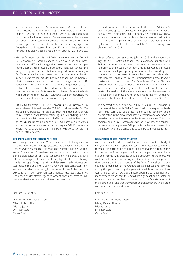# ERLÄUTERUNGEN | NOTES

land, Österreich und der Schweiz ansässig. Mit dieser Transaktion beabsichtigt die S&T Gruppe ihre Relevanz im Embedded Systems Bereich in Europa weiter auszubauen und durch Kombination mit neuen Softwarelösungen die Margen der ehemaligen Exceet-Gesellschaften weiter zu steigern. Die notwendigen wettbewerbsbehördlichen Genehmigungen in Deutschland und Österreich wurden Ende Juli 2018 erteilt, womit auch das Closing der Transaktion mit Ende Juli 2018 erfolgte.

- Mit Kaufangebot vom 19. Juli 2018, angenommen am 20. Juli 2018, erwarb die Kontron Canada Inc., ein verbundenes Unternehmen der S&T AG, im Wege eines Assetkaufvertrags das operative Geschäft der Inocybe Corporation, Montreal, Kanada. Die Inocybe Corporation entwickelt überwiegend Softwarelösungen für Telekommunikationsunternehmen und kooperierte bereits in der Vergangenheit mit der Kontron Canada Inc. im Kommunikationsbereich. Inocybe ist mit ihren Lösungen in den USA, Kanada und Europa präsent. Durch diese Akquisition soll das Software-Know-how im Embedded Systems Bereich weiter ausgebaut werden und der Softwareanteil in diesem Segment schrittweise erhöht und an das "IoT Solutions" Segment herangeführt werden. Das Closing der Transaktion erfolgte zum 30. Juli 2018.
- Mit Kaufvertrag vom 31. Juli 2018 erwarb die S&T Rumänien, ein verbundenes Unternehmen der S&T AG, schrittweise die Fair Value Com SRL, Bukarest, Rumänien. Die übernommene Gesellschaft ist im Bereich der SAP Implementierung und Betrieb tätig und bietet diese Dienstleistungen ausschließlich am rumänischen Markt an. Mit dieser Transaktion erlangt die S&T Rumänien benötigtes Know-how und Kapazitäten zur Umsetzung von SAP Projekten am lokalen Markt. Das Closing der Transaktion wird voraussichtlich im August 2018 erfolgen.

#### **Erklärung aller gesetzlichen Vertreter**

Wir bestätigen nach bestem Wissen, dass der im Einklang mit den maßgebenden Rechnungslegungsstandards aufgestellte, verkürzte Konzernzwischenabschluss ein möglichst getreues Bild der Vermögens-, Finanz- und Ertragslage des Konzerns vermittelt und dass der Halbjahreslagebericht des Konzerns ein möglichst getreues Bild der Vermögens-, Finanz- und Ertragslage des Konzerns bezüglich der wichtigen Ereignisse während der ersten sechs Monate des Geschäftsjahres und ihrer Auswirkungen auf den verkürzten Konzernzwischenabschluss, bezüglich der wesentlichen Risiken und Ungewissheiten in den restlichen sechs Monaten des Geschäftsjahres und bezüglich der offenzulegenden wesentlichen Geschäfte mit nahestehenden Unternehmen und Personen vermittelt.

Linz, am 3. August 2018

Dipl.-Ing. Hannes Niederhauser MMag. Richard Neuwirth Michael Jeske Dr. Peter Sturz Carlos Queiroz

tria and Switzerland. This transaction furthers the S&T Group's plans to develop its capabilities on Europe's market for embedded systems. The teaming up of the companies' offerings with new software solutions will further boost the margins earned by the former Exceet companies. The requisite approvals were granted by fair trade authorities at the end of July 2018. The closing took place end of July 2018.

- Via an offer to purchase dated July 19, 2018, and accepted on July 20, 2018, Kontron Canada Inc., a company affiliated with S&T AG, acquired via an asset purchase contract the operative business of Inocybe Corporation, Montreal, Canada. Inocybe Corporation develops especially software solutions used by telecommunication companies. It already had a working relationship with Kontron Canada Inc. in the communications area. Inocybe markets its solutions in the USA, Canada and Europe. This acquisition was made to further augment the Group's know-how in the area of embedded systems. This shall lead to the stepby-step increasing of the share accounted for by software in this segment's offerings and to bring it up to the "IoT Solutions" segment. The transaction's closing took place on July 30, 2018.
- In a contract of acquisition dated July 31, 2018, S&T Romania, a company affiliated with S&T AG, acquired on a sequential basis Fair Value Com SRL, Bucharest, Romania. The company taken over is active in the area of SAP implementation and operation. It provides these services solely on the Romanian market. This transaction enabled S&T Romania to gain the know-how and capabilities required to implement SAP projects on the local market. The transaction's closing is scheduled to take place in August 2018.

#### **Declaration of legal representatives**

As per our best knowledge available, we confirm that this abridged half-year management report was compiled in accordance with the relevant standards of financial reporting and that this report on the first half of the financial year depicts the company's assets, finances and income with greatest possible accuracy. Furthermore, we confirm that the interim management report on the Group's activities during the first six months of the 2018 financial year provides both a depiction of the Group's assets, finances and earnings during this period evincing the greatest possible accuracy and, as well, an indication of how these impact upon the abridged half-year management report; that they detail the significant and substantial risks and uncertainties that could arise during the final six months of the financial year; and that they report on transactions with affiliated companies and persons that require disclosure.

Linz, August 3, 2018

Dipl.-Ing. Hannes Niederhauser MMag. Richard Neuwirth Michael Jeske Dr. Peter Sturz Carlos Queiroz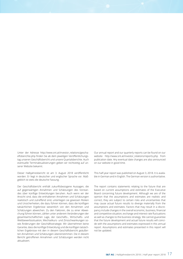Unter der Adresse http://www.snt.at/investor\_relations/geschaeftsberichte.php finden Sie ab dem jeweiligen Veröffentlichungstag unseren Geschäftsbericht und unsere Quartalsberichte. Auch eventuelle Terminaktualisierungen geben wir rechtzeitig auf unserer Website bekannt.

Dieser Halbjahresbericht ist am 3. August 2018 veröffentlicht worden. Er liegt in deutscher und englischer Sprache vor. Maßgeblich ist stets die deutsche Fassung.

Der Geschäftsbericht enthält zukunftsbezogene Aussagen, die auf gegenwärtigen Annahmen und Schätzungen des Vorstandes über künftige Entwicklungen beruhen. Auch wenn wir der Ansicht sind, dass die enthaltenen Annahmen und Schätzungen realistisch und zutreffend sind, unterliegen sie gewissen Risiken und Unsicherheiten, die dazu führen können, dass die künftigen tatsächlichen Ergebnisse wesentlich von den Annahmen und Schätzungen abweichen. Zu den Faktoren, die zu einer Abweichung führen können, zählen unter anderem Veränderungen der gesamtwirtschaftlichen Lage, der Geschäfts-, Wirtschafts- und Wettbewerbssituation, Wechselkurs- und Zinsschwankungen sowie Änderungen der Geschäftsstrategie. Wir übernehmen keine Garantie, dass die künftige Entwicklung und die künftigen tatsächlichen Ergebnisse mit den in diesem Geschäftsbericht geäußerten Annahmen und Schätzungen übereinstimmen. Die in diesem Bericht getroffenen Annahmen und Schätzungen werden nicht aktualisiert.

Our annual report and our quarterly reports can be found on our website http://www.snt.at/investor\_relations/reports.php from publication date. Any eventual date changes are also announced on our website in good time.

This half-year report was published on August 3, 2018. It is available in German and in English. The German version is authoritative.

The report contains statements relating to the future that are based on current assumptions and estimates of the Executive Board concerning future development. Although we are of the opinion that the assumptions and estimates are realistic and correct, they are subject to certain risks and uncertainties that may cause actual future results to diverge materially from the assumptions and estimates. Factors that may result in a discrepancy include changes in the overall economic, business, financial and competitive situation, exchange and interest rate fluctuations as well as changes to the business strategy. We cannot guarantee that the future development and actual future results will coincide with the assumptions and estimates expressed in this annual report. Assumptions and estimates presented in this report will not be updated.